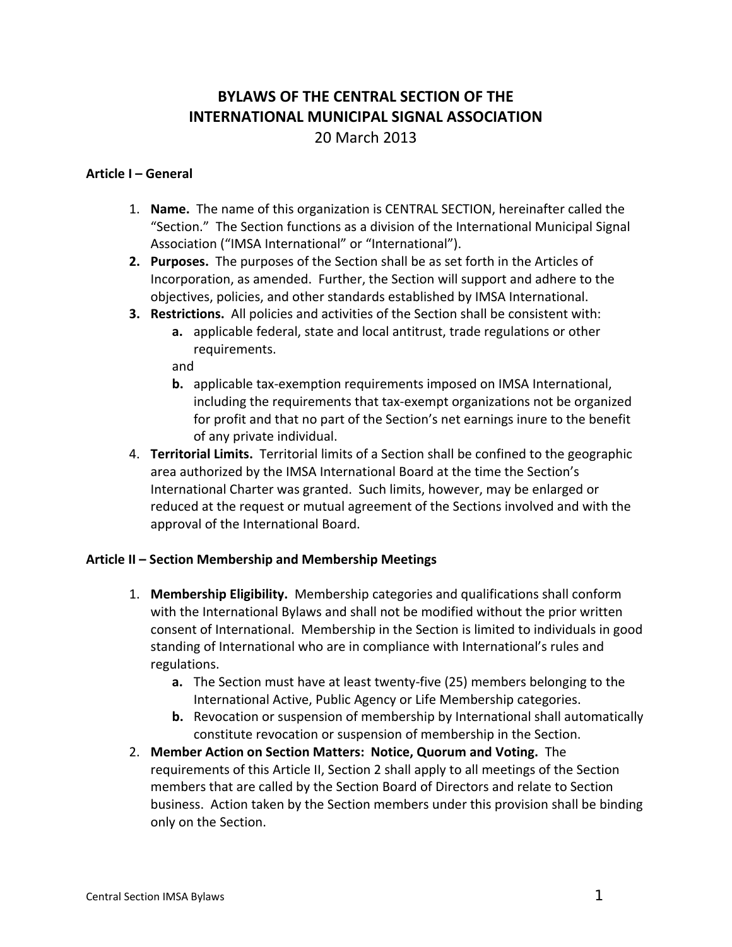# **BYLAWS OF THE CENTRAL SECTION OF THE INTERNATIONAL MUNICIPAL SIGNAL ASSOCIATION**

20 March 2013

### **Article I – General**

- 1. **Name.** The name of this organization is CENTRAL SECTION, hereinafter called the "Section." The Section functions as a division of the International Municipal Signal Association ("IMSA International" or "International").
- **2. Purposes.** The purposes of the Section shall be as set forth in the Articles of Incorporation, as amended. Further, the Section will support and adhere to the objectives, policies, and other standards established by IMSA International.
- **3. Restrictions.** All policies and activities of the Section shall be consistent with:
	- **a.** applicable federal, state and local antitrust, trade regulations or other requirements.

and

- **b.** applicable tax‐exemption requirements imposed on IMSA International, including the requirements that tax‐exempt organizations not be organized for profit and that no part of the Section's net earnings inure to the benefit of any private individual.
- 4. **Territorial Limits.** Territorial limits of a Section shall be confined to the geographic area authorized by the IMSA International Board at the time the Section's International Charter was granted. Such limits, however, may be enlarged or reduced at the request or mutual agreement of the Sections involved and with the approval of the International Board.

## **Article II – Section Membership and Membership Meetings**

- 1. **Membership Eligibility.** Membership categories and qualifications shall conform with the International Bylaws and shall not be modified without the prior written consent of International. Membership in the Section is limited to individuals in good standing of International who are in compliance with International's rules and regulations.
	- **a.** The Section must have at least twenty‐five (25) members belonging to the International Active, Public Agency or Life Membership categories.
	- **b.** Revocation or suspension of membership by International shall automatically constitute revocation or suspension of membership in the Section.
- 2. **Member Action on Section Matters: Notice, Quorum and Voting.** The requirements of this Article II, Section 2 shall apply to all meetings of the Section members that are called by the Section Board of Directors and relate to Section business. Action taken by the Section members under this provision shall be binding only on the Section.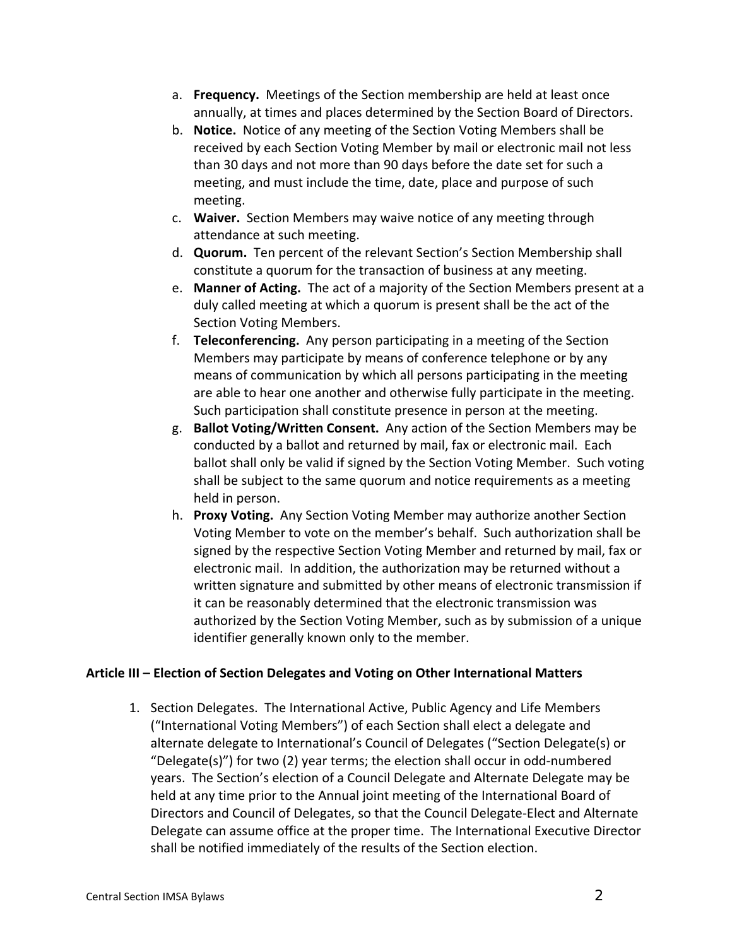- a. **Frequency.** Meetings of the Section membership are held at least once annually, at times and places determined by the Section Board of Directors.
- b. **Notice.** Notice of any meeting of the Section Voting Members shall be received by each Section Voting Member by mail or electronic mail not less than 30 days and not more than 90 days before the date set for such a meeting, and must include the time, date, place and purpose of such meeting.
- c. **Waiver.** Section Members may waive notice of any meeting through attendance at such meeting.
- d. **Quorum.** Ten percent of the relevant Section's Section Membership shall constitute a quorum for the transaction of business at any meeting.
- e. **Manner of Acting.** The act of a majority of the Section Members present at a duly called meeting at which a quorum is present shall be the act of the Section Voting Members.
- f. **Teleconferencing.** Any person participating in a meeting of the Section Members may participate by means of conference telephone or by any means of communication by which all persons participating in the meeting are able to hear one another and otherwise fully participate in the meeting. Such participation shall constitute presence in person at the meeting.
- g. **Ballot Voting/Written Consent.** Any action of the Section Members may be conducted by a ballot and returned by mail, fax or electronic mail. Each ballot shall only be valid if signed by the Section Voting Member. Such voting shall be subject to the same quorum and notice requirements as a meeting held in person.
- h. **Proxy Voting.** Any Section Voting Member may authorize another Section Voting Member to vote on the member's behalf. Such authorization shall be signed by the respective Section Voting Member and returned by mail, fax or electronic mail. In addition, the authorization may be returned without a written signature and submitted by other means of electronic transmission if it can be reasonably determined that the electronic transmission was authorized by the Section Voting Member, such as by submission of a unique identifier generally known only to the member.

## **Article III – Election of Section Delegates and Voting on Other International Matters**

1. Section Delegates. The International Active, Public Agency and Life Members ("International Voting Members") of each Section shall elect a delegate and alternate delegate to International's Council of Delegates ("Section Delegate(s) or "Delegate(s)") for two (2) year terms; the election shall occur in odd‐numbered years. The Section's election of a Council Delegate and Alternate Delegate may be held at any time prior to the Annual joint meeting of the International Board of Directors and Council of Delegates, so that the Council Delegate‐Elect and Alternate Delegate can assume office at the proper time. The International Executive Director shall be notified immediately of the results of the Section election.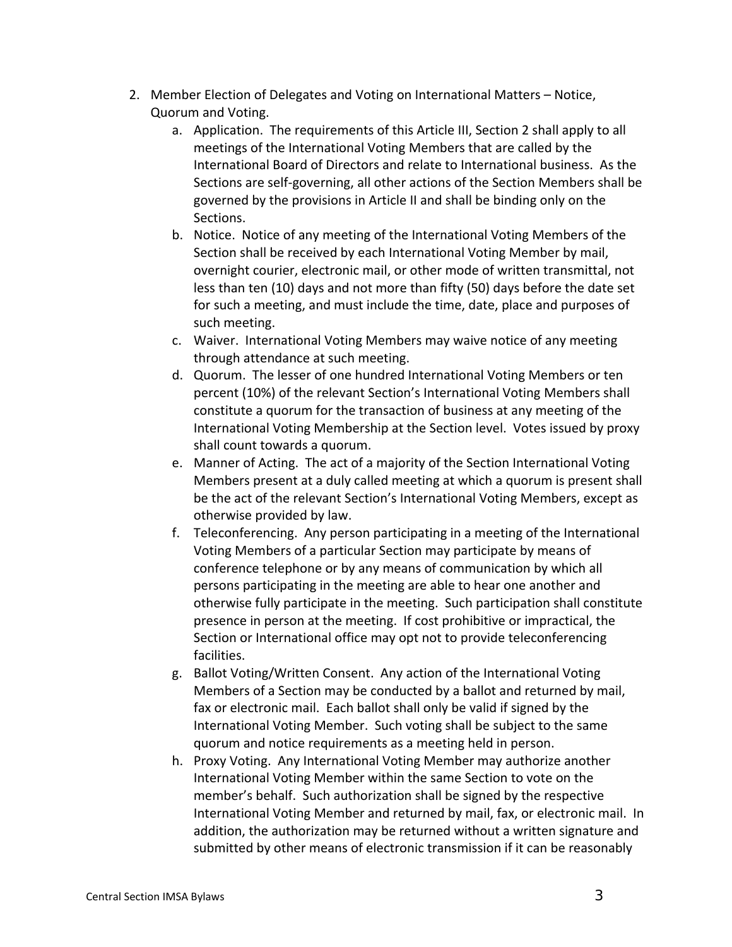- 2. Member Election of Delegates and Voting on International Matters Notice, Quorum and Voting.
	- a. Application. The requirements of this Article III, Section 2 shall apply to all meetings of the International Voting Members that are called by the International Board of Directors and relate to International business. As the Sections are self‐governing, all other actions of the Section Members shall be governed by the provisions in Article II and shall be binding only on the Sections.
	- b. Notice. Notice of any meeting of the International Voting Members of the Section shall be received by each International Voting Member by mail, overnight courier, electronic mail, or other mode of written transmittal, not less than ten (10) days and not more than fifty (50) days before the date set for such a meeting, and must include the time, date, place and purposes of such meeting.
	- c. Waiver. International Voting Members may waive notice of any meeting through attendance at such meeting.
	- d. Quorum. The lesser of one hundred International Voting Members or ten percent (10%) of the relevant Section's International Voting Members shall constitute a quorum for the transaction of business at any meeting of the International Voting Membership at the Section level. Votes issued by proxy shall count towards a quorum.
	- e. Manner of Acting. The act of a majority of the Section International Voting Members present at a duly called meeting at which a quorum is present shall be the act of the relevant Section's International Voting Members, except as otherwise provided by law.
	- f. Teleconferencing. Any person participating in a meeting of the International Voting Members of a particular Section may participate by means of conference telephone or by any means of communication by which all persons participating in the meeting are able to hear one another and otherwise fully participate in the meeting. Such participation shall constitute presence in person at the meeting. If cost prohibitive or impractical, the Section or International office may opt not to provide teleconferencing facilities.
	- g. Ballot Voting/Written Consent. Any action of the International Voting Members of a Section may be conducted by a ballot and returned by mail, fax or electronic mail. Each ballot shall only be valid if signed by the International Voting Member. Such voting shall be subject to the same quorum and notice requirements as a meeting held in person.
	- h. Proxy Voting. Any International Voting Member may authorize another International Voting Member within the same Section to vote on the member's behalf. Such authorization shall be signed by the respective International Voting Member and returned by mail, fax, or electronic mail. In addition, the authorization may be returned without a written signature and submitted by other means of electronic transmission if it can be reasonably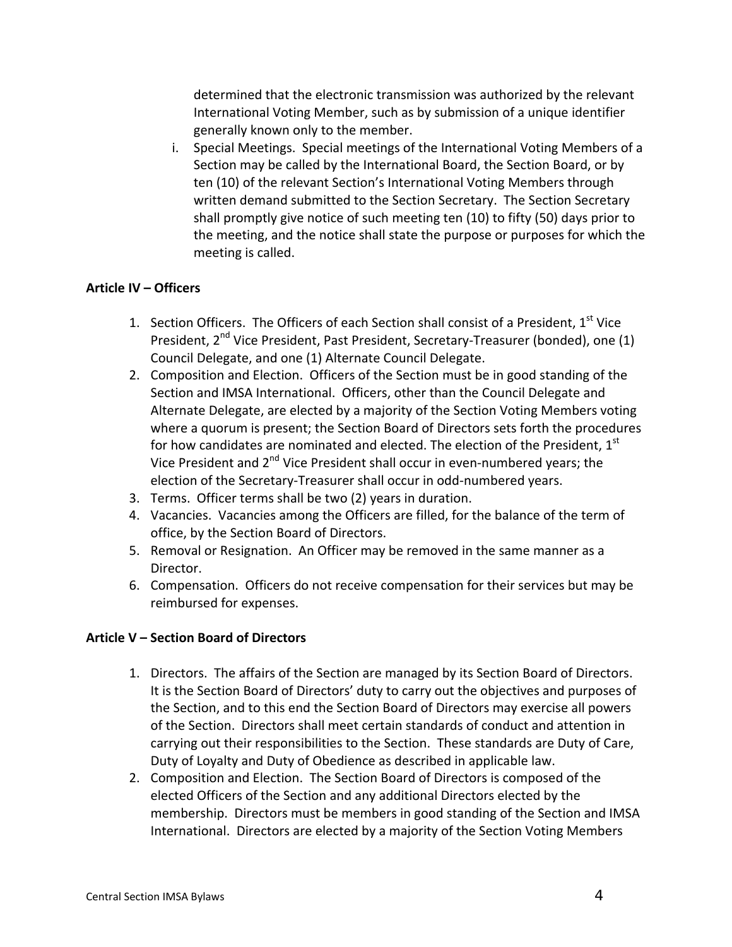determined that the electronic transmission was authorized by the relevant International Voting Member, such as by submission of a unique identifier generally known only to the member.

i. Special Meetings. Special meetings of the International Voting Members of a Section may be called by the International Board, the Section Board, or by ten (10) of the relevant Section's International Voting Members through written demand submitted to the Section Secretary. The Section Secretary shall promptly give notice of such meeting ten (10) to fifty (50) days prior to the meeting, and the notice shall state the purpose or purposes for which the meeting is called.

#### **Article IV – Officers**

- 1. Section Officers. The Officers of each Section shall consist of a President,  $1<sup>st</sup>$  Vice President, 2<sup>nd</sup> Vice President, Past President, Secretary-Treasurer (bonded), one (1) Council Delegate, and one (1) Alternate Council Delegate.
- 2. Composition and Election. Officers of the Section must be in good standing of the Section and IMSA International. Officers, other than the Council Delegate and Alternate Delegate, are elected by a majority of the Section Voting Members voting where a quorum is present; the Section Board of Directors sets forth the procedures for how candidates are nominated and elected. The election of the President,  $1<sup>st</sup>$ Vice President and  $2^{nd}$  Vice President shall occur in even-numbered years; the election of the Secretary‐Treasurer shall occur in odd‐numbered years.
- 3. Terms. Officer terms shall be two (2) years in duration.
- 4. Vacancies. Vacancies among the Officers are filled, for the balance of the term of office, by the Section Board of Directors.
- 5. Removal or Resignation. An Officer may be removed in the same manner as a Director.
- 6. Compensation. Officers do not receive compensation for their services but may be reimbursed for expenses.

## **Article V – Section Board of Directors**

- 1. Directors. The affairs of the Section are managed by its Section Board of Directors. It is the Section Board of Directors' duty to carry out the objectives and purposes of the Section, and to this end the Section Board of Directors may exercise all powers of the Section. Directors shall meet certain standards of conduct and attention in carrying out their responsibilities to the Section. These standards are Duty of Care, Duty of Loyalty and Duty of Obedience as described in applicable law.
- 2. Composition and Election. The Section Board of Directors is composed of the elected Officers of the Section and any additional Directors elected by the membership. Directors must be members in good standing of the Section and IMSA International. Directors are elected by a majority of the Section Voting Members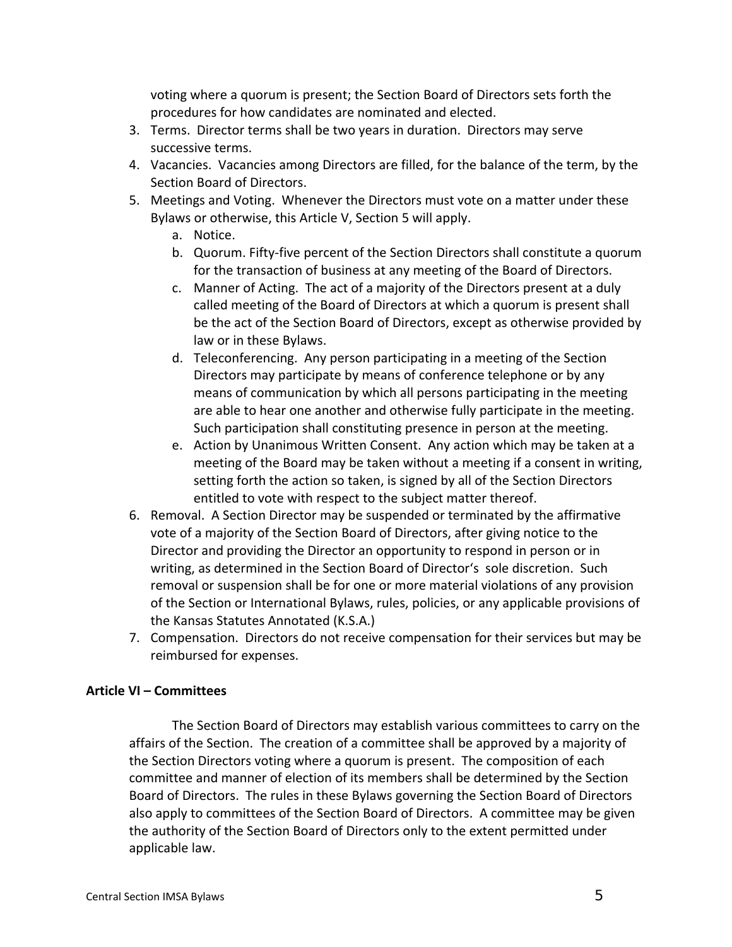voting where a quorum is present; the Section Board of Directors sets forth the procedures for how candidates are nominated and elected.

- 3. Terms. Director terms shall be two years in duration. Directors may serve successive terms.
- 4. Vacancies. Vacancies among Directors are filled, for the balance of the term, by the Section Board of Directors.
- 5. Meetings and Voting. Whenever the Directors must vote on a matter under these Bylaws or otherwise, this Article V, Section 5 will apply.
	- a. Notice.
	- b. Quorum. Fifty‐five percent of the Section Directors shall constitute a quorum for the transaction of business at any meeting of the Board of Directors.
	- c. Manner of Acting. The act of a majority of the Directors present at a duly called meeting of the Board of Directors at which a quorum is present shall be the act of the Section Board of Directors, except as otherwise provided by law or in these Bylaws.
	- d. Teleconferencing. Any person participating in a meeting of the Section Directors may participate by means of conference telephone or by any means of communication by which all persons participating in the meeting are able to hear one another and otherwise fully participate in the meeting. Such participation shall constituting presence in person at the meeting.
	- e. Action by Unanimous Written Consent. Any action which may be taken at a meeting of the Board may be taken without a meeting if a consent in writing, setting forth the action so taken, is signed by all of the Section Directors entitled to vote with respect to the subject matter thereof.
- 6. Removal. A Section Director may be suspended or terminated by the affirmative vote of a majority of the Section Board of Directors, after giving notice to the Director and providing the Director an opportunity to respond in person or in writing, as determined in the Section Board of Director's sole discretion. Such removal or suspension shall be for one or more material violations of any provision of the Section or International Bylaws, rules, policies, or any applicable provisions of the Kansas Statutes Annotated (K.S.A.)
- 7. Compensation. Directors do not receive compensation for their services but may be reimbursed for expenses.

## **Article VI – Committees**

The Section Board of Directors may establish various committees to carry on the affairs of the Section. The creation of a committee shall be approved by a majority of the Section Directors voting where a quorum is present. The composition of each committee and manner of election of its members shall be determined by the Section Board of Directors. The rules in these Bylaws governing the Section Board of Directors also apply to committees of the Section Board of Directors. A committee may be given the authority of the Section Board of Directors only to the extent permitted under applicable law.